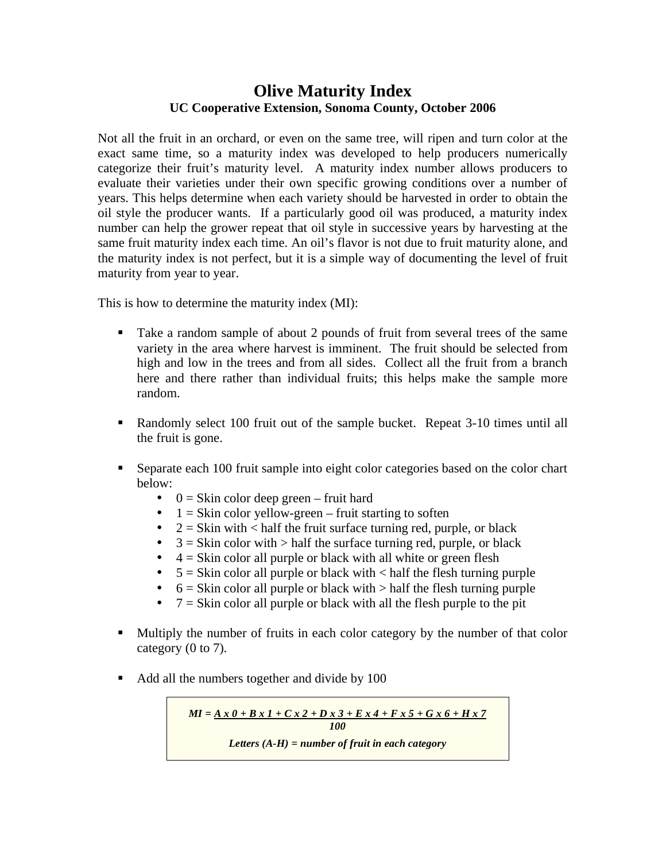## **Olive Maturity Index UC Cooperative Extension, Sonoma County, October 2006**

Not all the fruit in an orchard, or even on the same tree, will ripen and turn color at the exact same time, so a maturity index was developed to help producers numerically categorize their fruit's maturity level. A maturity index number allows producers to evaluate their varieties under their own specific growing conditions over a number of years. This helps determine when each variety should be harvested in order to obtain the oil style the producer wants. If a particularly good oil was produced, a maturity index number can help the grower repeat that oil style in successive years by harvesting at the same fruit maturity index each time. An oil's flavor is not due to fruit maturity alone, and the maturity index is not perfect, but it is a simple way of documenting the level of fruit maturity from year to year.

This is how to determine the maturity index (MI):

- Take a random sample of about 2 pounds of fruit from several trees of the same variety in the area where harvest is imminent. The fruit should be selected from high and low in the trees and from all sides. Collect all the fruit from a branch here and there rather than individual fruits; this helps make the sample more random.
- Randomly select 100 fruit out of the sample bucket. Repeat 3-10 times until all the fruit is gone.
- Separate each 100 fruit sample into eight color categories based on the color chart below:
	- $\bullet$  0 = Skin color deep green fruit hard
	- $1 =$  Skin color yellow-green fruit starting to soften<br>•  $2 =$  Skin with  $\lt$  half the fruit surface turning red. pur
	- $2 =$  Skin with  $\lt$  half the fruit surface turning red, purple, or black
	- $3 =$  Skin color with  $>$  half the surface turning red, purple, or black
	- $\bullet$  4 = Skin color all purple or black with all white or green flesh
	- $5 =$  Skin color all purple or black with  $\lt$  half the flesh turning purple
	- $6 =$ Skin color all purple or black with  $>$  half the flesh turning purple
	- $7 =$  Skin color all purple or black with all the flesh purple to the pit
- Multiply the number of fruits in each color category by the number of that color category (0 to 7).
- Add all the numbers together and divide by 100

$$
MI = \underline{A x 0 + B x 1 + C x 2 + D x 3 + E x 4 + F x 5 + G x 6 + H x 7}
$$
  
100  
Letters (A-H) = number of fruit in each category